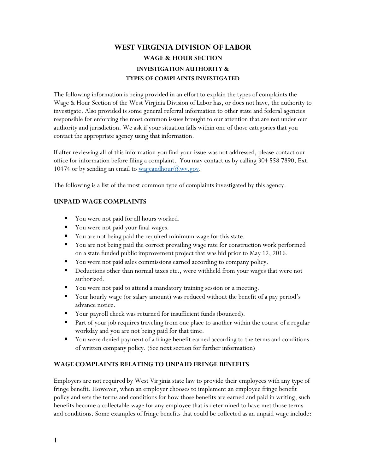# WEST VIRGINIA DIVISION OF LABOR WAGE & HOUR SECTION INVESTIGATION AUTHORITY & TYPES OF COMPLAINTS INVESTIGATED

The following information is being provided in an effort to explain the types of complaints the Wage & Hour Section of the West Virginia Division of Labor has, or does not have, the authority to investigate. Also provided is some general referral information to other state and federal agencies responsible for enforcing the most common issues brought to our attention that are not under our authority and jurisdiction. We ask if your situation falls within one of those categories that you contact the appropriate agency using that information.

If after reviewing all of this information you find your issue was not addressed, please contact our office for information before filing a complaint. You may contact us by calling 304 558 7890, Ext. 10474 or by sending an email to <u>wageandhour</u> $(\partial_{\mu}w_{\nu}y_{\nu})$ .

The following is a list of the most common type of complaints investigated by this agency.

### UNPAID WAGE COMPLAINTS

- You were not paid for all hours worked.
- You were not paid your final wages.
- You are not being paid the required minimum wage for this state.
- You are not being paid the correct prevailing wage rate for construction work performed on a state funded public improvement project that was bid prior to May 12, 2016.
- You were not paid sales commissions earned according to company policy.
- Deductions other than normal taxes etc., were withheld from your wages that were not authorized.
- You were not paid to attend a mandatory training session or a meeting.
- Your hourly wage (or salary amount) was reduced without the benefit of a pay period's advance notice.
- Your payroll check was returned for insufficient funds (bounced).
- Part of your job requires traveling from one place to another within the course of a regular workday and you are not being paid for that time.
- You were denied payment of a fringe benefit earned according to the terms and conditions of written company policy. (See next section for further information)

## WAGE COMPLAINTS RELATING TO UNPAID FRINGE BENEFITS

Employers are not required by West Virginia state law to provide their employees with any type of fringe benefit. However, when an employer chooses to implement an employee fringe benefit policy and sets the terms and conditions for how those benefits are earned and paid in writing, such benefits become a collectable wage for any employee that is determined to have met those terms and conditions. Some examples of fringe benefits that could be collected as an unpaid wage include: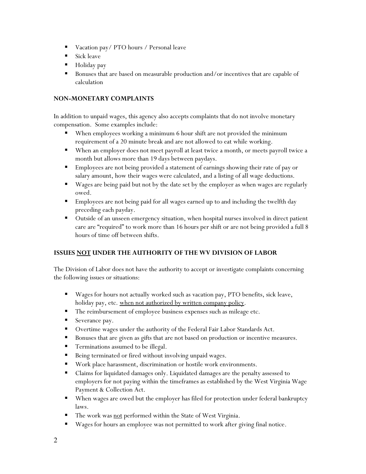- Vacation pay/ PTO hours / Personal leave
- Sick leave
- Holiday pay
- Bonuses that are based on measurable production and/or incentives that are capable of calculation

## NON-MONETARY COMPLAINTS

In addition to unpaid wages, this agency also accepts complaints that do not involve monetary compensation. Some examples include:

- When employees working a minimum 6 hour shift are not provided the minimum requirement of a 20 minute break and are not allowed to eat while working.
- When an employer does not meet payroll at least twice a month, or meets payroll twice a month but allows more than 19 days between paydays.
- **Employees are not being provided a statement of earnings showing their rate of pay or** salary amount, how their wages were calculated, and a listing of all wage deductions.
- Wages are being paid but not by the date set by the employer as when wages are regularly owed.
- **Employees are not being paid for all wages earned up to and including the twelfth day** preceding each payday.
- Outside of an unseen emergency situation, when hospital nurses involved in direct patient care are "required" to work more than 16 hours per shift or are not being provided a full 8 hours of time off between shifts.

## ISSUES NOT UNDER THE AUTHORITY OF THE WV DIVISION OF LABOR

The Division of Labor does not have the authority to accept or investigate complaints concerning the following issues or situations:

- Wages for hours not actually worked such as vacation pay, PTO benefits, sick leave, holiday pay, etc. when not authorized by written company policy.
- The reimbursement of employee business expenses such as mileage etc.
- Severance pay.
- Overtime wages under the authority of the Federal Fair Labor Standards Act.
- Bonuses that are given as gifts that are not based on production or incentive measures.
- **Terminations assumed to be illegal.**
- Being terminated or fired without involving unpaid wages.
- Work place harassment, discrimination or hostile work environments.
- Claims for liquidated damages only. Liquidated damages are the penalty assessed to employers for not paying within the timeframes as established by the West Virginia Wage Payment & Collection Act.
- When wages are owed but the employer has filed for protection under federal bankruptcy laws.
- The work was not performed within the State of West Virginia.
- Wages for hours an employee was not permitted to work after giving final notice.